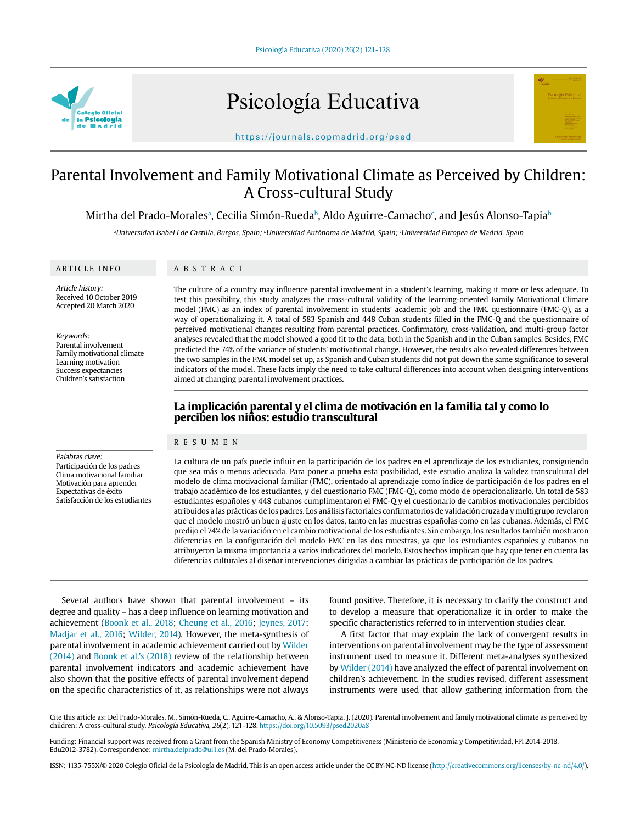

# Psicología Educativa



https://journals.copmadrid.org/psed

# Parental Involvement and Family Motivational Climate as Perceived by Children: A Cross-cultural Study

Mirtha del Prado-Moralesª, Cecilia Simón-Rueda♭, Aldo Aguirre-Camacho°, and Jesús Alonso-Tapia♭

<sup>a</sup>Universidad Isabel I de Castilla, Burgos, Spain; <sup>b</sup>Universidad Autónoma de Madrid, Spain; <sup>c</sup>Universidad Europea de Madrid, Spain

#### ARTICLE INFO

ABSTRACT

Article history: Received 10 October 2019 Accepted 20 March 2020

Keywords: Parental involvement

Family motivational climate Learning motivation Success expectancies Children's satisfaction

#### The culture of a country may influence parental involvement in a student's learning, making it more or less adequate. To test this possibility, this study analyzes the cross-cultural validity of the learning-oriented Family Motivational Climate model (FMC) as an index of parental involvement in students' academic job and the FMC questionnaire (FMC-Q), as a way of operationalizing it. A total of 583 Spanish and 448 Cuban students filled in the FMC-Q and the questionnaire of perceived motivational changes resulting from parental practices. Confirmatory, cross-validation, and multi-group factor analyses revealed that the model showed a good fit to the data, both in the Spanish and in the Cuban samples. Besides, FMC predicted the 74% of the variance of students' motivational change. However, the results also revealed differences between the two samples in the FMC model set up, as Spanish and Cuban students did not put down the same significance to several indicators of the model. These facts imply the need to take cultural differences into account when designing interventions aimed at changing parental involvement practices.

## **La implicación parental y el clima de motivación en la familia tal y como lo perciben los niños: estudio transcultural**

#### RESUMEN

#### Palabras clave:

Participación de los padres Clima motivacional familiar Motivación para aprender Expectativas de éxito Satisfacción de los estudiantes La cultura de un país puede influir en la participación de los padres en el aprendizaje de los estudiantes, consiguiendo que sea más o menos adecuada. Para poner a prueba esta posibilidad, este estudio analiza la validez transcultural del modelo de clima motivacional familiar (FMC), orientado al aprendizaje como índice de participación de los padres en el trabajo académico de los estudiantes, y del cuestionario FMC (FMC-Q), como modo de operacionalizarlo. Un total de 583 estudiantes españoles y 448 cubanos cumplimentaron el FMC-Q y el cuestionario de cambios motivacionales percibidos atribuidos a las prácticas de los padres. Los análisis factoriales confirmatorios de validación cruzada y multigrupo revelaron que el modelo mostró un buen ajuste en los datos, tanto en las muestras españolas como en las cubanas. Además, el FMC predijo el 74% de la variación en el cambio motivacional de los estudiantes. Sin embargo, los resultados también mostraron diferencias en la configuración del modelo FMC en las dos muestras, ya que los estudiantes españoles y cubanos no atribuyeron la misma importancia a varios indicadores del modelo. Estos hechos implican que hay que tener en cuenta las diferencias culturales al diseñar intervenciones dirigidas a cambiar las prácticas de participación de los padres.

Several authors have shown that parental involvement – its degree and quality – has a deep influence on learning motivation and achievement (Boonk et al., 2018; Cheung et al., 2016; Jeynes, 2017; Madjar et al., 2016; Wilder, 2014). However, the meta-synthesis of parental involvement in academic achievement carried out by Wilder (2014) and Boonk et al.'s (2018) review of the relationship between parental involvement indicators and academic achievement have also shown that the positive effects of parental involvement depend on the specific characteristics of it, as relationships were not always

found positive. Therefore, it is necessary to clarify the construct and to develop a measure that operationalize it in order to make the specific characteristics referred to in intervention studies clear.

A first factor that may explain the lack of convergent results in interventions on parental involvement may be the type of assessment instrument used to measure it. Different meta-analyses synthesized by Wilder (2014) have analyzed the effect of parental involvement on children's achievement. In the studies revised, different assessment instruments were used that allow gathering information from the

Cite this article as: Del Prado-Morales, M., Simón-Rueda, C., Aguirre-Camacho, A., & Alonso-Tapia, J. (2020). Parental involvement and family motivational climate as perceived by children: A cross-cultural study. Psicología Educativa, 26(2), 121-128. https://doi.org/10.5093/psed2020a8

Funding: Financial support was received from a Grant from the Spanish Ministry of Economy Competitiveness (Ministerio de Economía y Competitividad, FPI 2014-2018. Edu2012-3782). Correspondence: mirtha.delprado@ui1.es (M. del Prado-Morales).

ISSN: 1135-755X/© 2020 Colegio Oficial de la Psicología de Madrid. This is an open access article under the CC BY-NC-ND license (http://creativecommons.org/licenses/by-nc-nd/4.0/).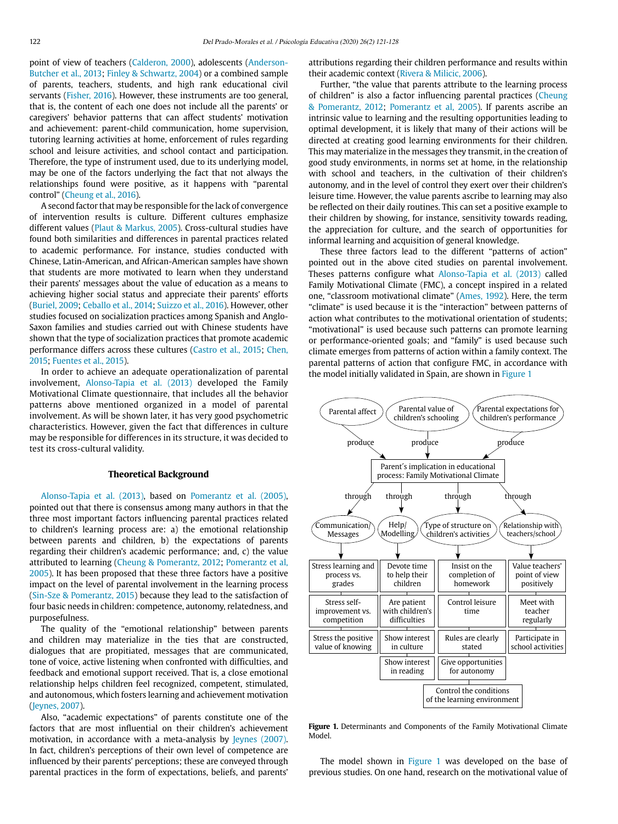point of view of teachers (Calderon, 2000), adolescents (Anderson-Butcher et al., 2013; Finley & Schwartz, 2004) or a combined sample of parents, teachers, students, and high rank educational civil servants (Fisher, 2016). However, these instruments are too general, that is, the content of each one does not include all the parents' or caregivers' behavior patterns that can affect students' motivation and achievement: parent-child communication, home supervision, tutoring learning activities at home, enforcement of rules regarding school and leisure activities, and school contact and participation. Therefore, the type of instrument used, due to its underlying model, may be one of the factors underlying the fact that not always the relationships found were positive, as it happens with "parental control" (Cheung et al., 2016).

A second factor that may be responsible for the lack of convergence of intervention results is culture. Different cultures emphasize different values (Plaut & Markus, 2005). Cross-cultural studies have found both similarities and differences in parental practices related to academic performance. For instance, studies conducted with Chinese, Latin-American, and African-American samples have shown that students are more motivated to learn when they understand their parents' messages about the value of education as a means to achieving higher social status and appreciate their parents' efforts (Buriel, 2009; Ceballo et al., 2014; Suizzo et al., 2016). However, other studies focused on socialization practices among Spanish and Anglo-Saxon families and studies carried out with Chinese students have shown that the type of socialization practices that promote academic performance differs across these cultures (Castro et al., 2015; Chen, 2015; Fuentes et al., 2015).

In order to achieve an adequate operationalization of parental involvement, Alonso-Tapia et al. (2013) developed the Family Motivational Climate questionnaire, that includes all the behavior patterns above mentioned organized in a model of parental involvement. As will be shown later, it has very good psychometric characteristics. However, given the fact that differences in culture may be responsible for differences in its structure, it was decided to test its cross-cultural validity.

#### **Theoretical Background**

Alonso-Tapia et al. (2013), based on Pomerantz et al. (2005), pointed out that there is consensus among many authors in that the three most important factors influencing parental practices related to children's learning process are: a) the emotional relationship between parents and children, b) the expectations of parents regarding their children's academic performance; and, c) the value attributed to learning (Cheung & Pomerantz, 2012; Pomerantz et al, 2005). It has been proposed that these three factors have a positive impact on the level of parental involvement in the learning process (Sin-Sze & Pomerantz, 2015) because they lead to the satisfaction of four basic needs in children: competence, autonomy, relatedness, and purposefulness.

The quality of the "emotional relationship" between parents and children may materialize in the ties that are constructed, dialogues that are propitiated, messages that are communicated, tone of voice, active listening when confronted with difficulties, and feedback and emotional support received. That is, a close emotional relationship helps children feel recognized, competent, stimulated, and autonomous, which fosters learning and achievement motivation (Jeynes, 2007).

Also, "academic expectations" of parents constitute one of the factors that are most influential on their children's achievement motivation, in accordance with a meta-analysis by Jeynes (2007). In fact, children's perceptions of their own level of competence are influenced by their parents' perceptions; these are conveyed through parental practices in the form of expectations, beliefs, and parents'

attributions regarding their children performance and results within their academic context (Rivera & Milicic, 2006).

Further, "the value that parents attribute to the learning process of children" is also a factor influencing parental practices (Cheung & Pomerantz, 2012; Pomerantz et al, 2005). If parents ascribe an intrinsic value to learning and the resulting opportunities leading to optimal development, it is likely that many of their actions will be directed at creating good learning environments for their children. This may materialize in the messages they transmit, in the creation of good study environments, in norms set at home, in the relationship with school and teachers, in the cultivation of their children's autonomy, and in the level of control they exert over their children's leisure time. However, the value parents ascribe to learning may also be reflected on their daily routines. This can set a positive example to their children by showing, for instance, sensitivity towards reading, the appreciation for culture, and the search of opportunities for informal learning and acquisition of general knowledge.

These three factors lead to the different "patterns of action" pointed out in the above cited studies on parental involvement. Theses patterns configure what Alonso-Tapia et al. (2013) called Family Motivational Climate (FMC), a concept inspired in a related one, "classroom motivational climate" (Ames, 1992). Here, the term "climate" is used because it is the "interaction" between patterns of action what contributes to the motivational orientation of students; "motivational" is used because such patterns can promote learning or performance-oriented goals; and "family" is used because such climate emerges from patterns of action within a family context. The parental patterns of action that configure FMC, in accordance with the model initially validated in Spain, are shown in Figure 1



Figure 1. Determinants and Components of the Family Motivational Climate Model.

The model shown in Figure 1 was developed on the base of previous studies. On one hand, research on the motivational value of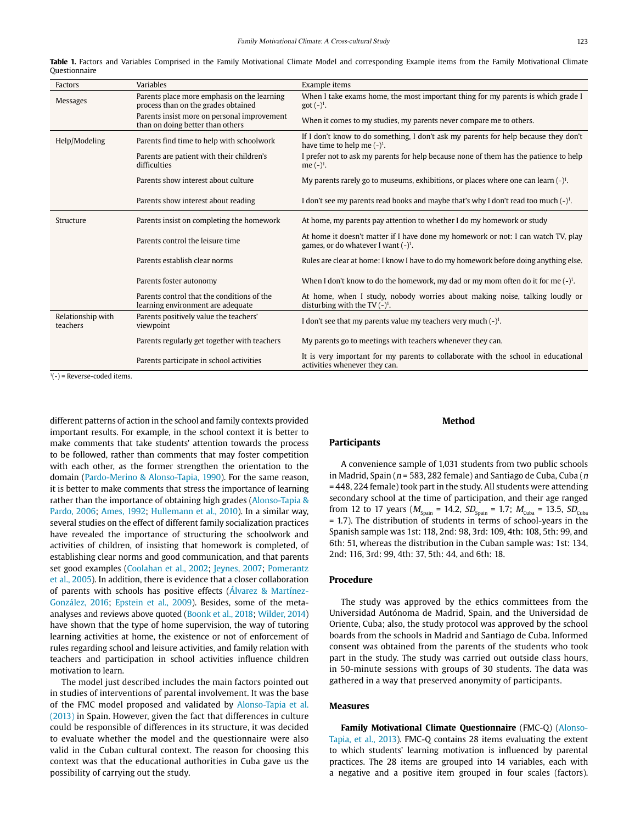| Factors                       | Variables                                                                          | Example items                                                                                                               |
|-------------------------------|------------------------------------------------------------------------------------|-----------------------------------------------------------------------------------------------------------------------------|
| <b>Messages</b>               | Parents place more emphasis on the learning<br>process than on the grades obtained | When I take exams home, the most important thing for my parents is which grade I<br>$got (-)^{1}$ .                         |
|                               | Parents insist more on personal improvement<br>than on doing better than others    | When it comes to my studies, my parents never compare me to others.                                                         |
| Help/Modeling                 | Parents find time to help with schoolwork                                          | If I don't know to do something, I don't ask my parents for help because they don't<br>have time to help me $(-)^1$ .       |
|                               | Parents are patient with their children's<br>difficulties                          | I prefer not to ask my parents for help because none of them has the patience to help<br>me $(-)^1$ .                       |
|                               | Parents show interest about culture                                                | My parents rarely go to museums, exhibitions, or places where one can learn $(-)^1$ .                                       |
|                               | Parents show interest about reading                                                | I don't see my parents read books and maybe that's why I don't read too much $(-)^1$ .                                      |
| Structure                     | Parents insist on completing the homework                                          | At home, my parents pay attention to whether I do my homework or study                                                      |
|                               | Parents control the leisure time                                                   | At home it doesn't matter if I have done my homework or not: I can watch TV, play<br>games, or do whatever I want $(-)^1$ . |
|                               | Parents establish clear norms                                                      | Rules are clear at home: I know I have to do my homework before doing anything else.                                        |
|                               | Parents foster autonomy                                                            | When I don't know to do the homework, my dad or my mom often do it for me $(-)^1$ .                                         |
|                               | Parents control that the conditions of the<br>learning environment are adequate    | At home, when I study, nobody worries about making noise, talking loudly or<br>disturbing with the TV $(-)^1$ .             |
| Relationship with<br>teachers | Parents positively value the teachers'<br>viewpoint                                | I don't see that my parents value my teachers very much $(-)^1$ .                                                           |
|                               | Parents regularly get together with teachers                                       | My parents go to meetings with teachers whenever they can.                                                                  |
|                               | Parents participate in school activities                                           | It is very important for my parents to collaborate with the school in educational<br>activities whenever they can.          |

**Table 1.** Factors and Variables Comprised in the Family Motivational Climate Model and corresponding Example items from the Family Motivational Climate Questionnaire

 $1(-)$  = Reverse-coded items.

different patterns of action in the school and family contexts provided important results. For example, in the school context it is better to make comments that take students' attention towards the process to be followed, rather than comments that may foster competition with each other, as the former strengthen the orientation to the domain (Pardo-Merino & Alonso-Tapia, 1990). For the same reason, it is better to make comments that stress the importance of learning rather than the importance of obtaining high grades (Alonso-Tapia & Pardo, 2006; Ames, 1992; Hullemann et al., 2010). In a similar way, several studies on the effect of different family socialization practices have revealed the importance of structuring the schoolwork and activities of children, of insisting that homework is completed, of establishing clear norms and good communication, and that parents set good examples (Coolahan et al., 2002; Jeynes, 2007; Pomerantz et al., 2005). In addition, there is evidence that a closer collaboration of parents with schools has positive effects (Álvarez & Martínez-González, 2016; Epstein et al., 2009). Besides, some of the metaanalyses and reviews above quoted (Boonk et al., 2018; Wilder, 2014) have shown that the type of home supervision, the way of tutoring learning activities at home, the existence or not of enforcement of rules regarding school and leisure activities, and family relation with teachers and participation in school activities influence children motivation to learn.

The model just described includes the main factors pointed out in studies of interventions of parental involvement. It was the base of the FMC model proposed and validated by Alonso-Tapia et al. (2013) in Spain. However, given the fact that differences in culture could be responsible of differences in its structure, it was decided to evaluate whether the model and the questionnaire were also valid in the Cuban cultural context. The reason for choosing this context was that the educational authorities in Cuba gave us the possibility of carrying out the study.

### **Participants**

A convenience sample of 1,031 students from two public schools in Madrid, Spain ( $n = 583$ , 282 female) and Santiago de Cuba, Cuba ( $n$ = 448, 224 female) took part in the study. All students were attending secondary school at the time of participation, and their age ranged from 12 to 17 years ( $M_{\text{spain}}$  = 14.2,  $SD_{\text{spain}}$  = 1.7;  $M_{\text{Cuba}}$  = 13.5,  $SD_{\text{Cuba}}$ = 1.7). The distribution of students in terms of school-years in the Spanish sample was 1st: 118, 2nd: 98, 3rd: 109, 4th: 108, 5th: 99, and 6th: 51, whereas the distribution in the Cuban sample was: 1st: 134, 2nd: 116, 3rd: 99, 4th: 37, 5th: 44, and 6th: 18.

**Method**

#### **Procedure**

The study was approved by the ethics committees from the Universidad Autónoma de Madrid, Spain, and the Universidad de Oriente, Cuba; also, the study protocol was approved by the school boards from the schools in Madrid and Santiago de Cuba. Informed consent was obtained from the parents of the students who took part in the study. The study was carried out outside class hours, in 50-minute sessions with groups of 30 students. The data was gathered in a way that preserved anonymity of participants.

#### **Measures**

**Family Motivational Climate Questionnaire** (FMC-Q) (Alonso-Tapia, et al., 2013). FMC-Q contains 28 items evaluating the extent to which students' learning motivation is influenced by parental practices. The 28 items are grouped into 14 variables, each with a negative and a positive item grouped in four scales (factors).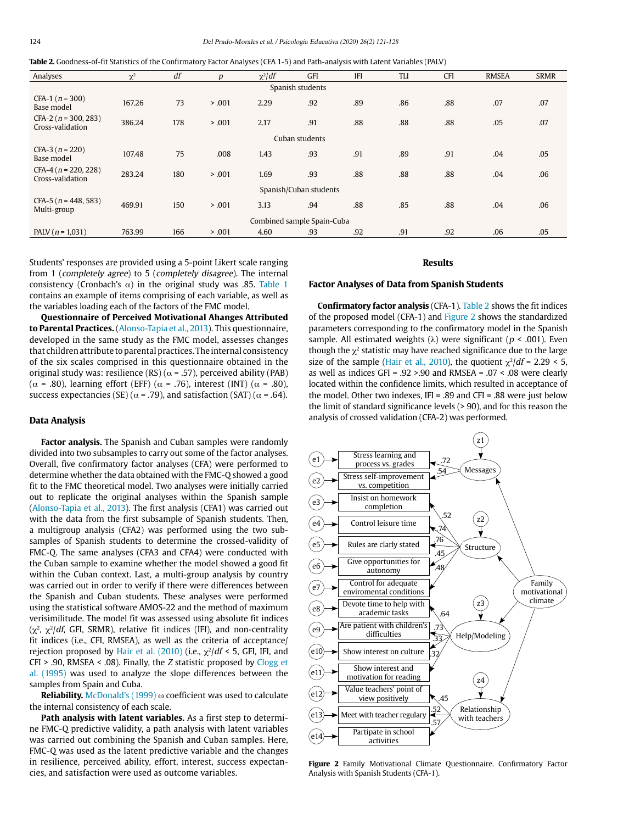| <b>Table 2.</b> Goodness-of-fit Statistics of the Confirmatory Factor Analyses (CFA 1-5) and Path-analysis with Latent Variables (PALV) |  |  |  |
|-----------------------------------------------------------------------------------------------------------------------------------------|--|--|--|
|-----------------------------------------------------------------------------------------------------------------------------------------|--|--|--|

| Analyses                                   | $\chi^2$ | df  | $\boldsymbol{p}$ | $\chi^2$ df | GFI              | <b>IFI</b> | <b>TLI</b> | <b>CFI</b> | <b>RMSEA</b> | <b>SRMR</b> |
|--------------------------------------------|----------|-----|------------------|-------------|------------------|------------|------------|------------|--------------|-------------|
|                                            |          |     |                  |             | Spanish students |            |            |            |              |             |
| CFA-1 ( $n = 300$ )<br>Base model          | 167.26   | 73  | > .001           | 2.29        | .92              | .89        | .86        | .88        | .07          | .07         |
| $CFA-2 (n = 300, 283)$<br>Cross-validation | 386.24   | 178 | > .001           | 2.17        | .91              | .88        | .88        | .88        | .05          | .07         |
|                                            |          |     |                  |             | Cuban students   |            |            |            |              |             |
| $CFA-3 (n = 220)$<br>Base model            | 107.48   | 75  | .008             | 1.43        | .93              | .91        | .89        | .91        | .04          | .05         |
| $CFA-4(n = 220, 228)$<br>Cross-validation  | 283.24   | 180 | > .001           | 1.69        | .93              | .88        | .88        | .88        | .04          | .06         |
| Spanish/Cuban students                     |          |     |                  |             |                  |            |            |            |              |             |
| CFA-5 ( $n = 448, 583$ )<br>Multi-group    | 469.91   | 150 | > .001           | 3.13        | .94              | .88        | .85        | .88        | .04          | .06         |
| Combined sample Spain-Cuba                 |          |     |                  |             |                  |            |            |            |              |             |
| PALV ( $n = 1,031$ )                       | 763.99   | 166 | > .001           | 4.60        | .93              | .92        | .91        | .92        | .06          | .05         |

Students' responses are provided using a 5-point Likert scale ranging from 1 (completely agree) to 5 (completely disagree). The internal consistency (Cronbach's  $\alpha$ ) in the original study was .85. Table 1 contains an example of items comprising of each variable, as well as the variables loading each of the factors of the FMC model.

**Questionnaire of Perceived Motivational Ahanges Attributed to Parental Practices.** (Alonso-Tapia et al., 2013). This questionnaire, developed in the same study as the FMC model, assesses changes that children attribute to parental practices. The internal consistency of the six scales comprised in this questionnaire obtained in the original study was: resilience (RS) ( $\alpha$  = .57), perceived ability (PAB) ( $\alpha$  = .80), learning effort (EFF) ( $\alpha$  = .76), interest (INT) ( $\alpha$  = .80), success expectancies (SE) ( $\alpha$  = .79), and satisfaction (SAT) ( $\alpha$  = .64).

#### **Data Analysis**

**Factor analysis.** The Spanish and Cuban samples were randomly divided into two subsamples to carry out some of the factor analyses. Overall, five confirmatory factor analyses (CFA) were performed to determine whether the data obtained with the FMC-Q showed a good fit to the FMC theoretical model. Two analyses were initially carried out to replicate the original analyses within the Spanish sample (Alonso-Tapia et al., 2013). The first analysis (CFA1) was carried out with the data from the first subsample of Spanish students. Then, a multigroup analysis (CFA2) was performed using the two subsamples of Spanish students to determine the crossed-validity of FMC-Q. The same analyses (CFA3 and CFA4) were conducted with the Cuban sample to examine whether the model showed a good fit within the Cuban context. Last, a multi-group analysis by country was carried out in order to verify if there were differences between the Spanish and Cuban students. These analyses were performed using the statistical software AMOS-22 and the method of maximum verisimilitude. The model fit was assessed using absolute fit indices  $(\chi^2, \chi^2/df, GFI, SRMR)$ , relative fit indices (IFI), and non-centrality fit indices (i.e., CFI, RMSEA), as well as the criteria of acceptance/ rejection proposed by Hair et al. (2010) (i.e.,  $\gamma^2/df < 5$ , GFI, IFI, and CFI > .90, RMSEA < .08). Finally, the Z statistic proposed by Clogg et al. (1995) was used to analyze the slope differences between the samples from Spain and Cuba.

**Reliability.** McDonald's (1999) ω coefficient was used to calculate the internal consistency of each scale.

**Path analysis with latent variables.** As a first step to determine FMC-Q predictive validity, a path analysis with latent variables was carried out combining the Spanish and Cuban samples. Here, FMC-Q was used as the latent predictive variable and the changes in resilience, perceived ability, effort, interest, success expectancies, and satisfaction were used as outcome variables.

#### **Results**

#### **Factor Analyses of Data from Spanish Students**

**Confirmatory factor analysis** (CFA-1). Table 2 shows the fit indices of the proposed model (CFA-1) and Figure 2 shows the standardized parameters corresponding to the confirmatory model in the Spanish sample. All estimated weights ( $\lambda$ ) were significant ( $p < .001$ ). Even though the  $\chi^2$  statistic may have reached significance due to the large size of the sample (Hair et al., 2010), the quotient  $\chi^2/df = 2.29 < 5$ , as well as indices GFI = .92 >.90 and RMSEA = .07 < .08 were clearly located within the confidence limits, which resulted in acceptance of the model. Other two indexes, IFI = .89 and CFI = .88 were just below the limit of standard significance levels (> 90), and for this reason the analysis of crossed validation (CFA-2) was performed.



**Figure 2** Family Motivational Climate Questionnaire. Confirmatory Factor Analysis with Spanish Students (CFA-1).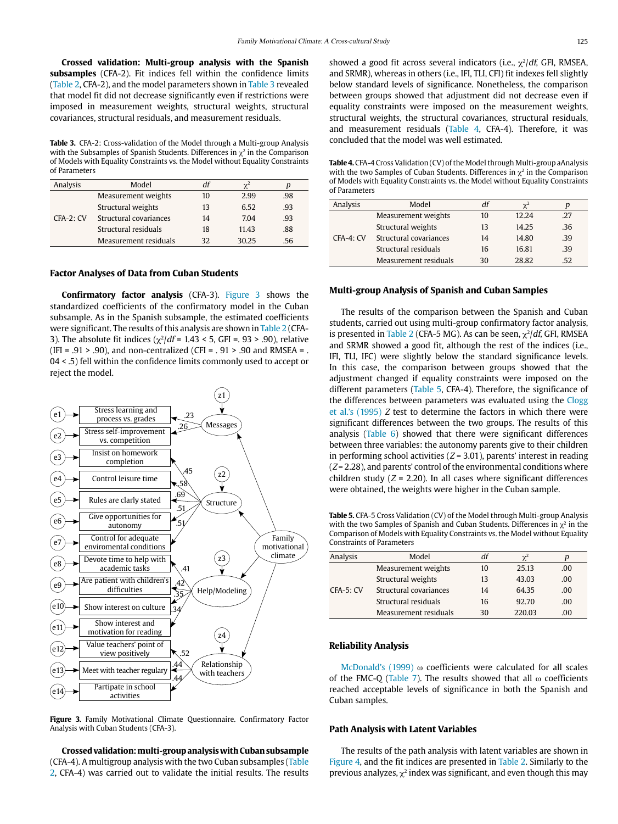**Crossed validation: Multi-group analysis with the Spanish subsamples** (CFA-2). Fit indices fell within the confidence limits (Table 2, CFA-2), and the model parameters shown in Table 3 revealed that model fit did not decrease significantly even if restrictions were imposed in measurement weights, structural weights, structural covariances, structural residuals, and measurement residuals.

**Table 3.** CFA-2: Cross-validation of the Model through a Multi-group Analysis with the Subsamples of Spanish Students. Differences in  $\chi^2$  in the Comparison of Models with Equality Constraints vs. the Model without Equality Constraints of Parameters

| Analysis    | Model                  | df | $\mathcal{V}^2$ |     |
|-------------|------------------------|----|-----------------|-----|
|             | Measurement weights    | 10 | 2.99            | .98 |
| $CFA-2: CV$ | Structural weights     | 13 | 6.52            | .93 |
|             | Structural covariances | 14 | 7.04            | .93 |
|             | Structural residuals   | 18 | 11.43           | .88 |
|             | Measurement residuals  | 32 | 30.25           | .56 |

#### **Factor Analyses of Data from Cuban Students**

**Confirmatory factor analysis** (CFA-3). Figure 3 shows the standardized coefficients of the confirmatory model in the Cuban subsample. As in the Spanish subsample, the estimated coefficients were significant. The results of this analysis are shown in Table 2 (CFA-3). The absolute fit indices ( $\chi^2/df = 1.43 < 5$ , GFI = . 93 > .90), relative (IFI =  $.91 > .90$ ), and non-centralized (CFI =  $.91 > .90$  and RMSEA = . 04 < .5) fell within the confidence limits commonly used to accept or reject the model.



**Figure 3.** Family Motivational Climate Questionnaire. Confirmatory Factor Analysis with Cuban Students (CFA-3).

**Crossed validation: multi-group analysis with Cuban subsample**  (CFA-4). A multigroup analysis with the two Cuban subsamples (Table 2, CFA-4) was carried out to validate the initial results. The results showed a good fit across several indicators (i.e.,  $\chi^2/df$ , GFI, RMSEA, and SRMR), whereas in others (i.e., IFI, TLI, CFI) fit indexes fell slightly below standard levels of significance. Nonetheless, the comparison between groups showed that adjustment did not decrease even if equality constraints were imposed on the measurement weights, structural weights, the structural covariances, structural residuals, and measurement residuals (Table 4, CFA-4). Therefore, it was concluded that the model was well estimated.

**Table 4.** CFA-4 Cross Validation (CV) of the Model through Multi-group aAnalysis with the two Samples of Cuban Students. Differences in  $\chi^2$  in the Comparison of Models with Equality Constraints vs. the Model without Equality Constraints of Parameters

| Analysis  | Model                  | df | $\gamma^2$ |     |
|-----------|------------------------|----|------------|-----|
|           | Measurement weights    | 10 | 12.24      | .27 |
| CFA-4: CV | Structural weights     | 13 | 14.25      | .36 |
|           | Structural covariances | 14 | 14.80      | .39 |
|           | Structural residuals   | 16 | 16.81      | .39 |
|           | Measurement residuals  | 30 | 28.82      | .52 |

#### **Multi-group Analysis of Spanish and Cuban Samples**

The results of the comparison between the Spanish and Cuban students, carried out using multi-group confirmatory factor analysis, is presented in Table 2 (CFA-5 MG). As can be seen,  $\chi^2/df$ , GFI, RMSEA and SRMR showed a good fit, although the rest of the indices (i.e., IFI, TLI, IFC) were slightly below the standard significance levels. In this case, the comparison between groups showed that the adjustment changed if equality constraints were imposed on the different parameters (Table 5, CFA-4). Therefore, the significance of the differences between parameters was evaluated using the Clogg et al.'s (1995) Z test to determine the factors in which there were significant differences between the two groups. The results of this analysis (Table  $6$ ) showed that there were significant differences between three variables: the autonomy parents give to their children in performing school activities  $(Z = 3.01)$ , parents' interest in reading  $(Z = 2.28)$ , and parents' control of the environmental conditions where children study  $(Z = 2.20)$ . In all cases where significant differences were obtained, the weights were higher in the Cuban sample.

**Table 5.** CFA-5 Cross Validation (CV) of the Model through Multi-group Analysis with the two Samples of Spanish and Cuban Students. Differences in  $\chi^2$  in the Comparison of Models with Equality Constraints vs. the Model without Equality Constraints of Parameters

| Analysis    | Model                  | df | $\chi^2$ | n   |
|-------------|------------------------|----|----------|-----|
|             | Measurement weights    | 10 | 25.13    | .00 |
|             | Structural weights     | 13 | 43.03    | .00 |
| $CFA-5: CV$ | Structural covariances | 14 | 64.35    | .00 |
|             | Structural residuals   | 16 | 92.70    | .00 |
|             | Measurement residuals  | 30 | 220.03   | .00 |

#### **Reliability Analysis**

McDonald's (1999) ω coefficients were calculated for all scales of the FMC-Q (Table 7). The results showed that all  $\omega$  coefficients reached acceptable levels of significance in both the Spanish and Cuban samples.

#### **Path Analysis with Latent Variables**

The results of the path analysis with latent variables are shown in Figure 4, and the fit indices are presented in Table 2. Similarly to the previous analyzes,  $\chi^2$  index was significant, and even though this may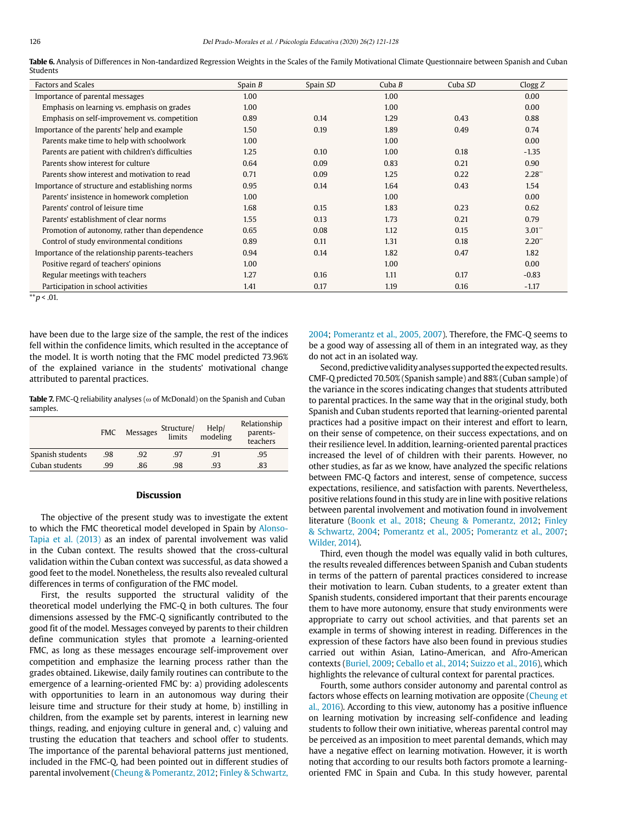| Table 6. Analysis of Differences in Non-tandardized Regression Weights in the Scales of the Family Motivational Climate Ouestionnaire between Spanish and Cuban |  |  |
|-----------------------------------------------------------------------------------------------------------------------------------------------------------------|--|--|
| Students                                                                                                                                                        |  |  |

| <b>Factors and Scales</b>                        | Spain $B$ | Spain SD | Cuba $B$ | Cuba SD | C <sub>logg</sub> Z  |
|--------------------------------------------------|-----------|----------|----------|---------|----------------------|
| Importance of parental messages                  | 1.00      |          | 1.00     |         | 0.00                 |
| Emphasis on learning vs. emphasis on grades      | 1.00      |          | 1.00     |         | 0.00                 |
| Emphasis on self-improvement vs. competition     | 0.89      | 0.14     | 1.29     | 0.43    | 0.88                 |
| Importance of the parents' help and example      | 1.50      | 0.19     | 1.89     | 0.49    | 0.74                 |
| Parents make time to help with schoolwork        | 1.00      |          | 1.00     |         | 0.00                 |
| Parents are patient with children's difficulties | 1.25      | 0.10     | 1.00     | 0.18    | $-1.35$              |
| Parents show interest for culture                | 0.64      | 0.09     | 0.83     | 0.21    | 0.90                 |
| Parents show interest and motivation to read     | 0.71      | 0.09     | 1.25     | 0.22    | 2.28"                |
| Importance of structure and establishing norms   | 0.95      | 0.14     | 1.64     | 0.43    | 1.54                 |
| Parents' insistence in homework completion       | 1.00      |          | 1.00     |         | 0.00                 |
| Parents' control of leisure time                 | 1.68      | 0.15     | 1.83     | 0.23    | 0.62                 |
| Parents' establishment of clear norms            | 1.55      | 0.13     | 1.73     | 0.21    | 0.79                 |
| Promotion of autonomy, rather than dependence    | 0.65      | 0.08     | 1.12     | 0.15    | $3.01$ "             |
| Control of study environmental conditions        | 0.89      | 0.11     | 1.31     | 0.18    | $2.20$ <sup>**</sup> |
| Importance of the relationship parents-teachers  | 0.94      | 0.14     | 1.82     | 0.47    | 1.82                 |
| Positive regard of teachers' opinions            | 1.00      |          | 1.00     |         | 0.00                 |
| Regular meetings with teachers                   | 1.27      | 0.16     | 1.11     | 0.17    | $-0.83$              |
| Participation in school activities               | 1.41      | 0.17     | 1.19     | 0.16    | $-1.17$              |

 $*$  $p$  < .01.

have been due to the large size of the sample, the rest of the indices fell within the confidence limits, which resulted in the acceptance of the model. It is worth noting that the FMC model predicted 73.96% of the explained variance in the students' motivational change attributed to parental practices.

**Table 7.** FMC-Q reliability analyses (ω of McDonald) on the Spanish and Cuban samples.

|                  | <b>FMC</b> | Messages | Structure/<br>limits | $/$ Help $/$ modeling | Relationship<br>parents-<br>teachers |
|------------------|------------|----------|----------------------|-----------------------|--------------------------------------|
| Spanish students | .98        | .92      | .97                  | .91                   | .95                                  |
| Cuban students   | .99        | .86      | .98                  | .93                   | .83                                  |

#### **Discussion**

The objective of the present study was to investigate the extent to which the FMC theoretical model developed in Spain by Alonso-Tapia et al. (2013) as an index of parental involvement was valid in the Cuban context. The results showed that the cross-cultural validation within the Cuban context was successful, as data showed a good feet to the model. Nonetheless, the results also revealed cultural differences in terms of configuration of the FMC model.

First, the results supported the structural validity of the theoretical model underlying the FMC-Q in both cultures. The four dimensions assessed by the FMC-Q significantly contributed to the good fit of the model. Messages conveyed by parents to their children define communication styles that promote a learning-oriented FMC, as long as these messages encourage self-improvement over competition and emphasize the learning process rather than the grades obtained. Likewise, daily family routines can contribute to the emergence of a learning-oriented FMC by: a) providing adolescents with opportunities to learn in an autonomous way during their leisure time and structure for their study at home, b) instilling in children, from the example set by parents, interest in learning new things, reading, and enjoying culture in general and, c) valuing and trusting the education that teachers and school offer to students. The importance of the parental behavioral patterns just mentioned, included in the FMC-Q, had been pointed out in different studies of parental involvement (Cheung & Pomerantz, 2012; Finley & Schwartz, 2004; Pomerantz et al., 2005, 2007). Therefore, the FMC-Q seems to be a good way of assessing all of them in an integrated way, as they do not act in an isolated way.

Second, predictive validity analyses supported the expected results. CMF-Q predicted 70.50% (Spanish sample) and 88% (Cuban sample) of the variance in the scores indicating changes that students attributed to parental practices. In the same way that in the original study, both Spanish and Cuban students reported that learning-oriented parental practices had a positive impact on their interest and effort to learn, on their sense of competence, on their success expectations, and on their resilience level. In addition, learning-oriented parental practices increased the level of of children with their parents. However, no other studies, as far as we know, have analyzed the specific relations between FMC-Q factors and interest, sense of competence, success expectations, resilience, and satisfaction with parents. Nevertheless, positive relations found in this study are in line with positive relations between parental involvement and motivation found in involvement literature (Boonk et al., 2018; Cheung & Pomerantz, 2012; Finley & Schwartz, 2004; Pomerantz et al., 2005; Pomerantz et al., 2007; Wilder, 2014).

Third, even though the model was equally valid in both cultures, the results revealed differences between Spanish and Cuban students in terms of the pattern of parental practices considered to increase their motivation to learn. Cuban students, to a greater extent than Spanish students, considered important that their parents encourage them to have more autonomy, ensure that study environments were appropriate to carry out school activities, and that parents set an example in terms of showing interest in reading. Differences in the expression of these factors have also been found in previous studies carried out within Asian, Latino-American, and Afro-American contexts (Buriel, 2009; Ceballo et al., 2014; Suizzo et al., 2016), which highlights the relevance of cultural context for parental practices.

Fourth, some authors consider autonomy and parental control as factors whose effects on learning motivation are opposite (Cheung et al., 2016). According to this view, autonomy has a positive influence on learning motivation by increasing self-confidence and leading students to follow their own initiative, whereas parental control may be perceived as an imposition to meet parental demands, which may have a negative effect on learning motivation. However, it is worth noting that according to our results both factors promote a learningoriented FMC in Spain and Cuba. In this study however, parental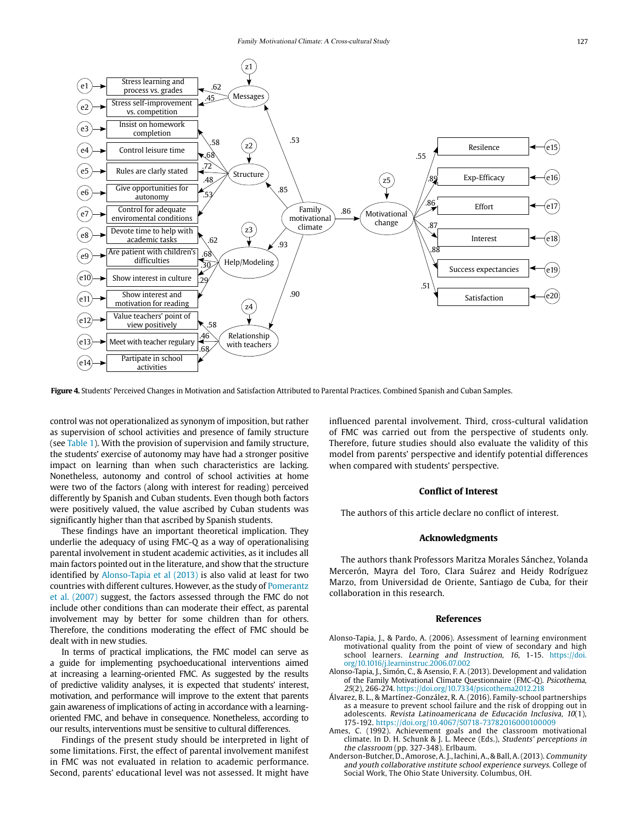

**Figure 4.** Students' Perceived Changes in Motivation and Satisfaction Attributed to Parental Practices. Combined Spanish and Cuban Samples.

control was not operationalized as synonym of imposition, but rather as supervision of school activities and presence of family structure (see Table 1). With the provision of supervision and family structure, the students' exercise of autonomy may have had a stronger positive impact on learning than when such characteristics are lacking. Nonetheless, autonomy and control of school activities at home were two of the factors (along with interest for reading) perceived differently by Spanish and Cuban students. Even though both factors were positively valued, the value ascribed by Cuban students was significantly higher than that ascribed by Spanish students.

These findings have an important theoretical implication. They underlie the adequacy of using FMC-Q as a way of operationalising parental involvement in student academic activities, as it includes all main factors pointed out in the literature, and show that the structure identified by Alonso-Tapia et al (2013) is also valid at least for two countries with different cultures. However, as the study of Pomerantz et al. (2007) suggest, the factors assessed through the FMC do not include other conditions than can moderate their effect, as parental involvement may by better for some children than for others. Therefore, the conditions moderating the effect of FMC should be dealt with in new studies.

In terms of practical implications, the FMC model can serve as a guide for implementing psychoeducational interventions aimed at increasing a learning-oriented FMC. As suggested by the results of predictive validity analyses, it is expected that students' interest, motivation, and performance will improve to the extent that parents gain awareness of implications of acting in accordance with a learningoriented FMC, and behave in consequence. Nonetheless, according to our results, interventions must be sensitive to cultural differences.

Findings of the present study should be interpreted in light of some limitations. First, the effect of parental involvement manifest in FMC was not evaluated in relation to academic performance. Second, parents' educational level was not assessed. It might have

influenced parental involvement. Third, cross-cultural validation of FMC was carried out from the perspective of students only. Therefore, future studies should also evaluate the validity of this model from parents' perspective and identify potential differences when compared with students' perspective.

#### **Conflict of Interest**

The authors of this article declare no conflict of interest.

#### **Acknowledgments**

The authors thank Professors Maritza Morales Sánchez, Yolanda Mercerón, Mayra del Toro, Clara Suárez and Heidy Rodríguez Marzo, from Universidad de Oriente, Santiago de Cuba, for their collaboration in this research.

#### **References**

- Alonso-Tapia, J., & Pardo, A. (2006). Assessment of learning environment motivational quality from the point of view of secondary and high school learners. Learning and Instruction, 16, 1-15. [https://doi.](https://doi.org/10.1016/j.learninstruc.2006.07.002) [org/10.1016/j.learninstruc.2006.07.002](https://doi.org/10.1016/j.learninstruc.2006.07.002)
- Alonso-Tapia, J., Simón, C., & Asensio, F. A. (2013). Development and validation of the Family Motivational Climate Questionnaire (FMC-Q). Psicothema, 25(2), 266-274.<https://doi.org/10.7334/psicothema2012.218>
- Álvarez, B. L., & Martínez-González, R. A. (2016). Family-school partnerships as a measure to prevent school failure and the risk of dropping out in adolescents. Revista Latinoamericana de Educación Inclusiva, 10(1), 175-192. https://doi.org/10.4067/S0718-73782016000100009
- Ames, C. (1992). Achievement goals and the classroom motivational climate. In D. H. Schunk & J. L. Meece (Eds.), Students' perceptions in the classroom (pp. 327-348). Erlbaum.
- Anderson-Butcher, D., Amorose, A. J., Iachini, A., & Ball, A. (2013). Community and youth collaborative ınstitute school experience surveys. College of Social Work, The Ohio State University. Columbus, OH.